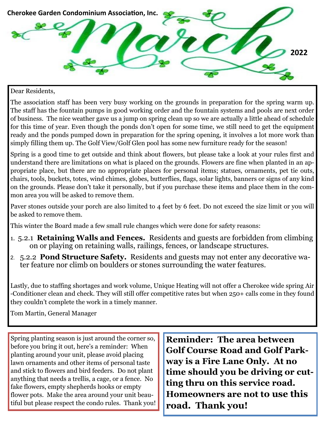

#### Dear Residents,

The association staff has been very busy working on the grounds in preparation for the spring warm up. The staff has the fountain pumps in good working order and the fountain systems and pools are next order of business. The nice weather gave us a jump on spring clean up so we are actually a little ahead of schedule for this time of year. Even though the ponds don't open for some time, we still need to get the equipment ready and the ponds pumped down in preparation for the spring opening, it involves a lot more work than simply filling them up. The Golf View/Golf Glen pool has some new furniture ready for the season!

Spring is a good time to get outside and think about flowers, but please take a look at your rules first and understand there are limitations on what is placed on the grounds. Flowers are fine when planted in an appropriate place, but there are no appropriate places for personal items; statues, ornaments, pet tie outs, chairs, tools, buckets, totes, wind chimes, globes, butterflies, flags, solar lights, banners or signs of any kind on the grounds. Please don't take it personally, but if you purchase these items and place them in the common area you will be asked to remove them.

Paver stones outside your porch are also limited to 4 feet by 6 feet. Do not exceed the size limit or you will be asked to remove them.

This winter the Board made a few small rule changes which were done for safety reasons:

- 1. 5.2.1 **Retaining Walls and Fences.** Residents and guests are forbidden from climbing on or playing on retaining walls, railings, fences, or landscape structures.
- 2. 5.2.2 **Pond Structure Safety.** Residents and guests may not enter any decorative water feature nor climb on boulders or stones surrounding the water features.

Lastly, due to staffing shortages and work volume, Unique Heating will not offer a Cherokee wide spring Air -Conditioner clean and check. They will still offer competitive rates but when 250+ calls come in they found they couldn't complete the work in a timely manner.

Tom Martin, General Manager

Spring planting season is just around the corner so, before you bring it out, here's a reminder: When planting around your unit, please avoid placing lawn ornaments and other items of personal taste and stick to flowers and bird feeders. Do not plant anything that needs a trellis, a cage, or a fence. No fake flowers, empty shepherds hooks or empty flower pots. Make the area around your unit beautiful but please respect the condo rules. Thank you! **Reminder: The area between Golf Course Road and Golf Parkway is a Fire Lane Only. At no time should you be driving or cutting thru on this service road. Homeowners are not to use this road. Thank you!**